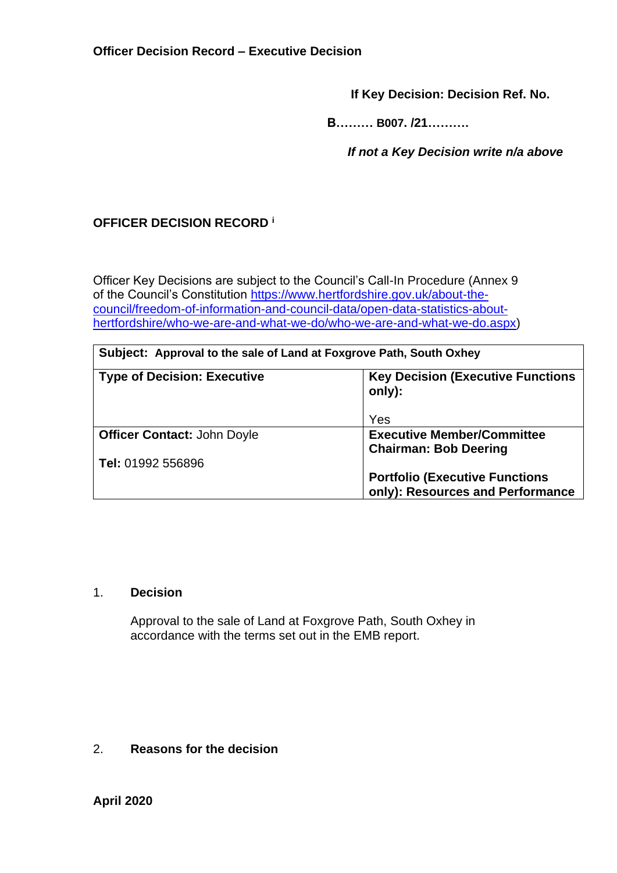**If Key Decision: Decision Ref. No.**

 **B……… B007. /21……….**

 *If not a Key Decision write n/a above*

# **OFFICER DECISION RECORD <sup>i</sup>**

Officer Key Decisions are subject to the Council's Call-In Procedure (Annex 9 of the Council's Constitution [https://www.hertfordshire.gov.uk/about-the](https://www.hertfordshire.gov.uk/about-the-council/freedom-of-information-and-council-data/open-data-statistics-about-hertfordshire/who-we-are-and-what-we-do/who-we-are-and-what-we-do.aspx)[council/freedom-of-information-and-council-data/open-data-statistics-about](https://www.hertfordshire.gov.uk/about-the-council/freedom-of-information-and-council-data/open-data-statistics-about-hertfordshire/who-we-are-and-what-we-do/who-we-are-and-what-we-do.aspx)[hertfordshire/who-we-are-and-what-we-do/who-we-are-and-what-we-do.aspx\)](https://www.hertfordshire.gov.uk/about-the-council/freedom-of-information-and-council-data/open-data-statistics-about-hertfordshire/who-we-are-and-what-we-do/who-we-are-and-what-we-do.aspx)

| Subject: Approval to the sale of Land at Foxgrove Path, South Oxhey |  |  |  |  |  |
|---------------------------------------------------------------------|--|--|--|--|--|
|---------------------------------------------------------------------|--|--|--|--|--|

| <b>Type of Decision: Executive</b> | <b>Key Decision (Executive Functions)</b><br>only): |
|------------------------------------|-----------------------------------------------------|
|                                    | Yes                                                 |
| <b>Officer Contact: John Doyle</b> | <b>Executive Member/Committee</b>                   |
|                                    | <b>Chairman: Bob Deering</b>                        |
| Tel: 01992 556896                  |                                                     |
|                                    | <b>Portfolio (Executive Functions)</b>              |
|                                    | only): Resources and Performance                    |

#### 1. **Decision**

Approval to the sale of Land at Foxgrove Path, South Oxhey in accordance with the terms set out in the EMB report.

### 2. **Reasons for the decision**

## **April 2020**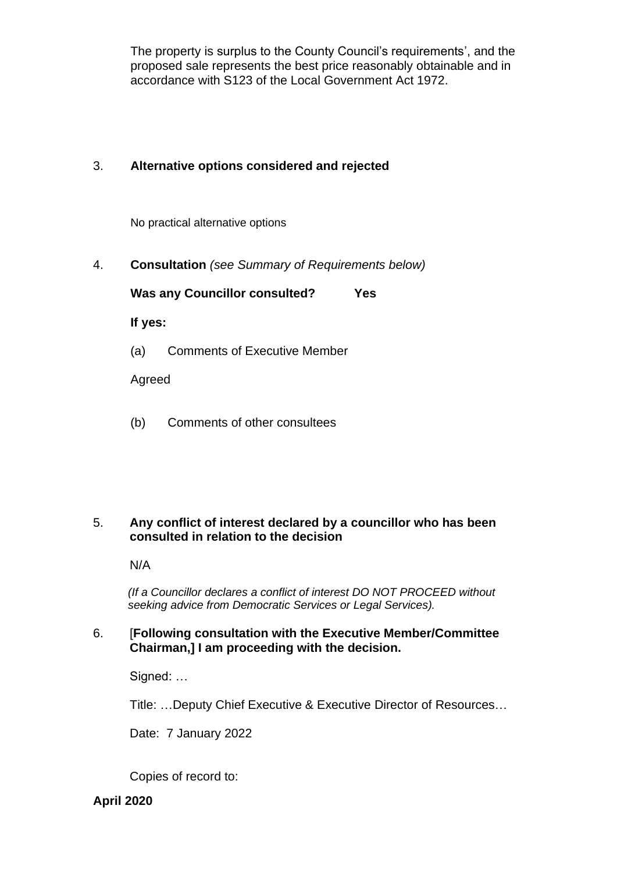The property is surplus to the County Council's requirements', and the proposed sale represents the best price reasonably obtainable and in accordance with S123 of the Local Government Act 1972.

### 3. **Alternative options considered and rejected**

No practical alternative options

4. **Consultation** *(see Summary of Requirements below)*

**Was any Councillor consulted? Yes**

**If yes:**

(a) Comments of Executive Member

Agreed

(b) Comments of other consultees

#### 5. **Any conflict of interest declared by a councillor who has been consulted in relation to the decision**

N/A

 *(If a Councillor declares a conflict of interest DO NOT PROCEED without seeking advice from Democratic Services or Legal Services).* 

### 6. [**Following consultation with the Executive Member/Committee Chairman,] I am proceeding with the decision.**

Signed: …

Title: …Deputy Chief Executive & Executive Director of Resources…

Date: 7 January 2022

Copies of record to:

## **April 2020**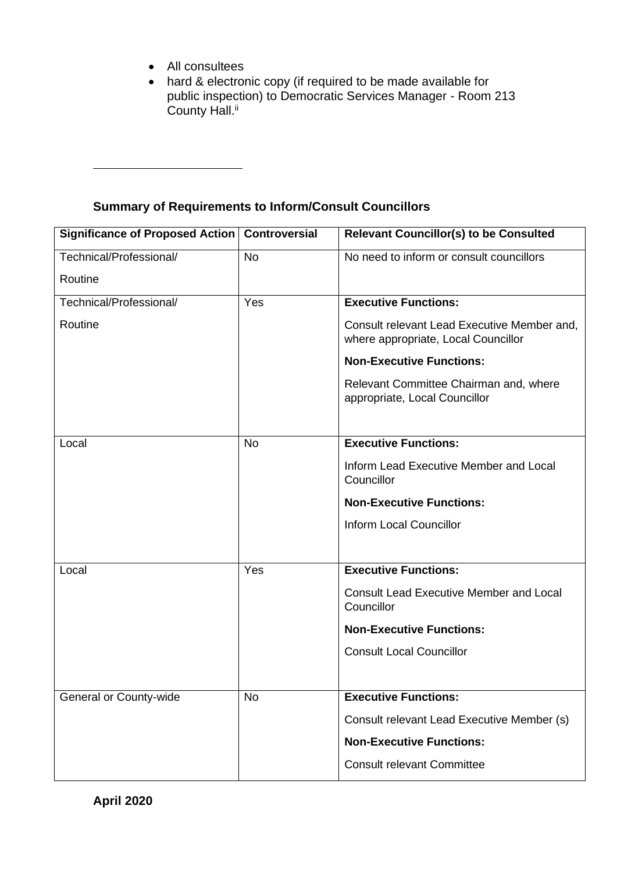- All consultees
- hard & electronic copy (if required to be made available for public inspection) to Democratic Services Manager - Room 213 County Hall.<sup>ii</sup>

# **Summary of Requirements to Inform/Consult Councillors**

| <b>Significance of Proposed Action</b> | <b>Controversial</b> | <b>Relevant Councillor(s) to be Consulted</b>                                      |
|----------------------------------------|----------------------|------------------------------------------------------------------------------------|
| Technical/Professional/                | <b>No</b>            | No need to inform or consult councillors                                           |
| Routine                                |                      |                                                                                    |
| Technical/Professional/                | Yes                  | <b>Executive Functions:</b>                                                        |
| Routine                                |                      | Consult relevant Lead Executive Member and,<br>where appropriate, Local Councillor |
|                                        |                      | <b>Non-Executive Functions:</b>                                                    |
|                                        |                      | Relevant Committee Chairman and, where<br>appropriate, Local Councillor            |
|                                        |                      |                                                                                    |
| Local                                  | <b>No</b>            | <b>Executive Functions:</b>                                                        |
|                                        |                      | Inform Lead Executive Member and Local<br>Councillor                               |
|                                        |                      | <b>Non-Executive Functions:</b>                                                    |
|                                        |                      | <b>Inform Local Councillor</b>                                                     |
|                                        |                      |                                                                                    |
| Local                                  | Yes                  | <b>Executive Functions:</b>                                                        |
|                                        |                      | <b>Consult Lead Executive Member and Local</b><br>Councillor                       |
|                                        |                      | <b>Non-Executive Functions:</b>                                                    |
|                                        |                      | <b>Consult Local Councillor</b>                                                    |
|                                        |                      |                                                                                    |
| General or County-wide                 | No                   | <b>Executive Functions:</b>                                                        |
|                                        |                      | Consult relevant Lead Executive Member (s)                                         |
|                                        |                      | <b>Non-Executive Functions:</b>                                                    |
|                                        |                      | <b>Consult relevant Committee</b>                                                  |